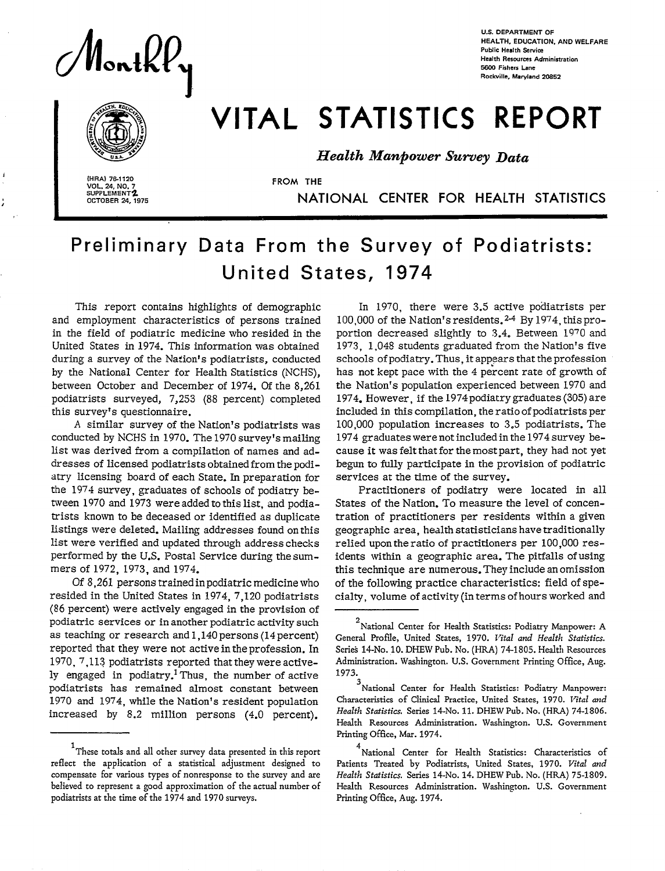Montk

**U.S. DEPARTMENT OF HEALTH. EDUCATION, AND WELFARE**  Public Health Servi **Health Resources Administration S600 Fishers Lane Rockville, M@md 20s52** 



# : VITAL STATISTICS REPORT

,+@ @%e U.h *Health Manpower Survey Data* 

**{HRA)** 7s-1720 **FROM THE VOL. 24, NO. 7**<br>
SUPPLEMENT **2.** OCTOBER 24, 1975

*CONTROVER 24, 1975* **SUITE ALTER AND REALTH STATISTIC** 

## **Preliminary Data From the Survey of Podiatrists: United States, 1974**

This report contains highlights of demographic and employment characteristics of persons trained in the field of podiatric medicine who resided in the United States in 1974. This information was obtained during a survey of the Nation's podiatrists, conducted by the National Center for Health Statistics (NCHS), between October and December of 1974. Of the 8,261 podiatrists surveyed, 7,253 (88 percent) completed **\$** this survey's questionnaire.

A similar survey of the Nation's podiatrists was conducted by NCHS in 1970. The 1970 survey's mailing list was derived from a compilation of names and addresses of licensed podiatrists obtained from the podiatry licensing board of each State. In preparation for the 1974 survey, graduates of schools of podiatry between 1970 and 1973 were added to this list, and podiatrists known to be deceased or identified as duplicate listings were deleted. Mailing addresses found on this list were verified and updated through address checks performed by the U.S. Postal Service during the summers of 1972, 1973, and 1974.

Of 8,261 persons trained in podiatric medicine who resided in the United States in 1974, 7,120 podiatrists (86 percent) were actively engaged in the provision of podiatric services or in another podiatric activity such as teaching or research and 1,140 persons (14 percent) reported that they were not active in the profession. In 1970, 7,113 podiatrists reported that they were actively engaged in podiatry.' Thus, the number of active podiatrists has remained almost constant between 1970 and 1974, while the Nation's resident population increased by 8.2 million persons (4.0 percent).

In 1970, there were 3.5 active podiatrists per 100,000 of the Nation's residents. <sup>2-4</sup> By 1974, this proportion decreased slightly to 3.4. Between 1970 and 1973, 1,048 students graduated from the Nation's five schools of podiatry. Thus, it appears that the profession has not kept pace with the 4 percent rate of growth of the Nation's population experienced between 1970 and 1974. However, if the 1974 podiatry graduates (305) are included in this compilation, the ratio of podiatrists per 100,000 population increases to 3.5 podiatrists. The 1974 graduates were not included in the 1974 survey because it was felt that for the most part, they had not yet begun to fully participate in the provision of podiatric services at the time of the survey.

Practitioners of podiatry were located in all States of the Nation. To measure the level of concentration of practitioners per residents within a given geographic area, health statisticians have traditionally relied upon the ratio of practitioners per 100,000 residents within a geographic area. The pitfalls of using this technique are numerous. They include an omission of the following practice characteristics: field of specialty, volume of activity (in terms of hours worked and

4 National Center for Health Statistics: Characteristics of Patients Treated by Podiatrists, United States, 1970. *Vital and Health Statistics. Series 14-No. 14.* DHEW Pub. No. (HRA) 75-1809. Health Resources Administration. Washington. U.S. Government Printing Office, Aug. 1974.

<sup>&</sup>lt;sup>1</sup> These totals and all other survey data presented in this report reflect the application of a statistical adjustment designed to compensate for various types of nonresponse to the *survey* and are beIieved to represent a good approximation of the actual number of podiatrists at the time of the 1974 and 1970 surveys.

**<sup>2</sup>**  National Center for Health Statistics: Podiatry Manpower: A General Profile, United States, 1970. *Vital and Health Statistics*. *Senek 14-No. 10.* DHEW Pub. No. (HRA) *741805.* Heakh Resources Administration. Washington. U.S. Government Printing Office, Aug. 1973.

<sup>&</sup>lt;sup>3</sup> National Center for Health Statistics: Podiatry Manpower Characteristics of Cliniczd Practice, United States, 1970. *I'iful and Health Statistics. Series 14N0. 11.* DHEW Pub. No. (HRA) 74-1806. Health Resources Administration. Washington. U.S. Government Printing Office, Mar. 1974.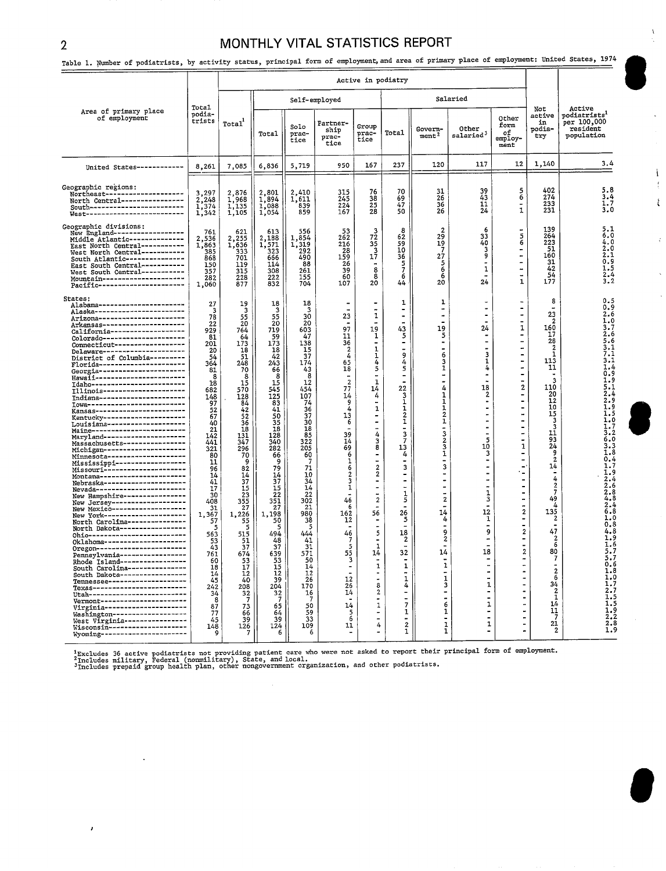e

8

i

 $\mathcal{L}$ 

J,

 $\mathbf{r}$ 

 $\frac{1}{2}$ 

|                                                                                                                                                                                                                                                                                                                                                                                                                                                                                                                                                                                                                                                                                                                                                                                                                                                                                                                                                                                                                                                                                                                                                                                                                                                                                                                                                                                                                                                                                                                                                                                                                                                                                                                                   |                                                                                                                                                                                                                                                                                                                           |                                                                                                                                                                                                                                                                                                                                                             |                                                                                                                                                                                                                                                                                                                                                                           |                                                                                                                                                                                                                                                                                                                   |                                                                                                                                                                                                                                                                                                                            | Active in podiatry                                                                                                                                                                                                                                                                                                                                                                                                                                          |                                                                                                                                                                                                                                                                                                                                                                                                                                                                                                               |                                                                                                                                                                                                                                                                                                                                                                                                                                                                                  |                                                                                                                                                                                                                                                                                                                                                                                               |                                                                                                                                                                                                                                                                                                                                                                                                                                                                                                     |                                                                                                                                                                                                                                                                                                                                                                           |                                                                                                                                                                                                                                                                                                                                                                                                        |
|-----------------------------------------------------------------------------------------------------------------------------------------------------------------------------------------------------------------------------------------------------------------------------------------------------------------------------------------------------------------------------------------------------------------------------------------------------------------------------------------------------------------------------------------------------------------------------------------------------------------------------------------------------------------------------------------------------------------------------------------------------------------------------------------------------------------------------------------------------------------------------------------------------------------------------------------------------------------------------------------------------------------------------------------------------------------------------------------------------------------------------------------------------------------------------------------------------------------------------------------------------------------------------------------------------------------------------------------------------------------------------------------------------------------------------------------------------------------------------------------------------------------------------------------------------------------------------------------------------------------------------------------------------------------------------------------------------------------------------------|---------------------------------------------------------------------------------------------------------------------------------------------------------------------------------------------------------------------------------------------------------------------------------------------------------------------------|-------------------------------------------------------------------------------------------------------------------------------------------------------------------------------------------------------------------------------------------------------------------------------------------------------------------------------------------------------------|---------------------------------------------------------------------------------------------------------------------------------------------------------------------------------------------------------------------------------------------------------------------------------------------------------------------------------------------------------------------------|-------------------------------------------------------------------------------------------------------------------------------------------------------------------------------------------------------------------------------------------------------------------------------------------------------------------|----------------------------------------------------------------------------------------------------------------------------------------------------------------------------------------------------------------------------------------------------------------------------------------------------------------------------|-------------------------------------------------------------------------------------------------------------------------------------------------------------------------------------------------------------------------------------------------------------------------------------------------------------------------------------------------------------------------------------------------------------------------------------------------------------|---------------------------------------------------------------------------------------------------------------------------------------------------------------------------------------------------------------------------------------------------------------------------------------------------------------------------------------------------------------------------------------------------------------------------------------------------------------------------------------------------------------|----------------------------------------------------------------------------------------------------------------------------------------------------------------------------------------------------------------------------------------------------------------------------------------------------------------------------------------------------------------------------------------------------------------------------------------------------------------------------------|-----------------------------------------------------------------------------------------------------------------------------------------------------------------------------------------------------------------------------------------------------------------------------------------------------------------------------------------------------------------------------------------------|-----------------------------------------------------------------------------------------------------------------------------------------------------------------------------------------------------------------------------------------------------------------------------------------------------------------------------------------------------------------------------------------------------------------------------------------------------------------------------------------------------|---------------------------------------------------------------------------------------------------------------------------------------------------------------------------------------------------------------------------------------------------------------------------------------------------------------------------------------------------------------------------|--------------------------------------------------------------------------------------------------------------------------------------------------------------------------------------------------------------------------------------------------------------------------------------------------------------------------------------------------------------------------------------------------------|
|                                                                                                                                                                                                                                                                                                                                                                                                                                                                                                                                                                                                                                                                                                                                                                                                                                                                                                                                                                                                                                                                                                                                                                                                                                                                                                                                                                                                                                                                                                                                                                                                                                                                                                                                   |                                                                                                                                                                                                                                                                                                                           |                                                                                                                                                                                                                                                                                                                                                             |                                                                                                                                                                                                                                                                                                                                                                           |                                                                                                                                                                                                                                                                                                                   | Self-employed                                                                                                                                                                                                                                                                                                              |                                                                                                                                                                                                                                                                                                                                                                                                                                                             |                                                                                                                                                                                                                                                                                                                                                                                                                                                                                                               |                                                                                                                                                                                                                                                                                                                                                                                                                                                                                  | Salaried                                                                                                                                                                                                                                                                                                                                                                                      |                                                                                                                                                                                                                                                                                                                                                                                                                                                                                                     |                                                                                                                                                                                                                                                                                                                                                                           |                                                                                                                                                                                                                                                                                                                                                                                                        |
| Area of primary place<br>of employment                                                                                                                                                                                                                                                                                                                                                                                                                                                                                                                                                                                                                                                                                                                                                                                                                                                                                                                                                                                                                                                                                                                                                                                                                                                                                                                                                                                                                                                                                                                                                                                                                                                                                            | Total<br>podia-<br>trists                                                                                                                                                                                                                                                                                                 | Total <sup>1</sup>                                                                                                                                                                                                                                                                                                                                          | Total                                                                                                                                                                                                                                                                                                                                                                     | Solo<br>prac-<br>tice                                                                                                                                                                                                                                                                                             | Partner-<br>ship<br>prac-<br>tice                                                                                                                                                                                                                                                                                          | Group<br>prac-<br>tice                                                                                                                                                                                                                                                                                                                                                                                                                                      | Total                                                                                                                                                                                                                                                                                                                                                                                                                                                                                                         | Govern-<br>$m$ ent <sup>2</sup>                                                                                                                                                                                                                                                                                                                                                                                                                                                  | Other<br>salaried <sup>3</sup>                                                                                                                                                                                                                                                                                                                                                                | Other<br>form<br>оf<br>employ-<br>ment                                                                                                                                                                                                                                                                                                                                                                                                                                                              | Not<br>active<br>in.<br>podia-<br>try                                                                                                                                                                                                                                                                                                                                     | Active<br>podiatrists <sup>1</sup><br>per 100,000<br>resident<br>population                                                                                                                                                                                                                                                                                                                            |
| United States------------                                                                                                                                                                                                                                                                                                                                                                                                                                                                                                                                                                                                                                                                                                                                                                                                                                                                                                                                                                                                                                                                                                                                                                                                                                                                                                                                                                                                                                                                                                                                                                                                                                                                                                         | 8,261                                                                                                                                                                                                                                                                                                                     | 7,085                                                                                                                                                                                                                                                                                                                                                       | 6,836                                                                                                                                                                                                                                                                                                                                                                     | 5,719                                                                                                                                                                                                                                                                                                             | 950                                                                                                                                                                                                                                                                                                                        | 167                                                                                                                                                                                                                                                                                                                                                                                                                                                         | 237                                                                                                                                                                                                                                                                                                                                                                                                                                                                                                           | 120                                                                                                                                                                                                                                                                                                                                                                                                                                                                              | 117                                                                                                                                                                                                                                                                                                                                                                                           | 12                                                                                                                                                                                                                                                                                                                                                                                                                                                                                                  | 1,140                                                                                                                                                                                                                                                                                                                                                                     | 3.4                                                                                                                                                                                                                                                                                                                                                                                                    |
| Geographic regions:<br>Northeast---------------------<br>North Central-----------------<br>South--------------------------<br>West--------------------------                                                                                                                                                                                                                                                                                                                                                                                                                                                                                                                                                                                                                                                                                                                                                                                                                                                                                                                                                                                                                                                                                                                                                                                                                                                                                                                                                                                                                                                                                                                                                                      | 3,297<br>2,248<br>1,374<br>1,342                                                                                                                                                                                                                                                                                          | 2,876<br>1,968<br>1,135<br>1,105                                                                                                                                                                                                                                                                                                                            | 2,801<br>1,894<br>1,054                                                                                                                                                                                                                                                                                                                                                   | 2,410<br>1,611<br>839<br>859                                                                                                                                                                                                                                                                                      | 315<br>245<br>$\frac{224}{167}$                                                                                                                                                                                                                                                                                            | 76<br>38<br>25<br>$\overline{28}$                                                                                                                                                                                                                                                                                                                                                                                                                           | 70<br>69<br>47<br>50                                                                                                                                                                                                                                                                                                                                                                                                                                                                                          | 31<br>26<br>36<br>26                                                                                                                                                                                                                                                                                                                                                                                                                                                             | 39<br>$\frac{43}{11}$<br>24                                                                                                                                                                                                                                                                                                                                                                   | 5<br>6<br>$\tilde{\phantom{a}}$<br>$\mathbf{I}$                                                                                                                                                                                                                                                                                                                                                                                                                                                     | 402<br>274<br>233<br>231                                                                                                                                                                                                                                                                                                                                                  | 5.8<br>$3.4$<br>1.7<br>3.0                                                                                                                                                                                                                                                                                                                                                                             |
| Geographic divisions:<br>New England------------------<br>Middle Atlantic--------------<br>East North Central-----------<br>West North Central------------<br>South Atlantic---------------<br>East South Central------------<br>West South Central-----------<br>Mountain----------------------<br>Pacific-----------------------                                                                                                                                                                                                                                                                                                                                                                                                                                                                                                                                                                                                                                                                                                                                                                                                                                                                                                                                                                                                                                                                                                                                                                                                                                                                                                                                                                                                | 761<br>2,536<br>1,863<br>385<br>868<br>150<br>357<br>282<br>1,060                                                                                                                                                                                                                                                         | 621<br>2,255<br>1,636<br>333<br>701<br>119<br>315<br>228<br>877                                                                                                                                                                                                                                                                                             | 613<br>2,188<br>1,571<br>323<br>666<br>114<br>308<br>222<br>832                                                                                                                                                                                                                                                                                                           | 556<br>1,854<br>1,319<br>292<br>490<br>88<br>261<br>155<br>704                                                                                                                                                                                                                                                    | $\begin{array}{c} 53 \\ 262 \end{array}$<br>$\frac{216}{28}$<br>159<br>26<br>39<br>60<br>107                                                                                                                                                                                                                               | з<br>72<br>$\begin{array}{c} 35 \\ 3 \\ 3 \\ 17 \end{array}$<br>8<br>8<br>20                                                                                                                                                                                                                                                                                                                                                                                | 8<br>62<br>59<br>10<br>36<br>$\frac{5}{7}$<br>6<br>44                                                                                                                                                                                                                                                                                                                                                                                                                                                         | $\overline{2}$<br>29<br>19<br>7<br>27<br>5<br>6<br>6<br>20                                                                                                                                                                                                                                                                                                                                                                                                                       | 6<br>33<br>40<br>3<br>ğ<br>$\mathbf{1}$<br>24                                                                                                                                                                                                                                                                                                                                                 | 5<br>6<br>$\blacksquare$<br>٠<br>$\overline{\phantom{a}}$<br>$\ddot{ }$<br>$\mathbf 1$                                                                                                                                                                                                                                                                                                                                                                                                              | 139<br>264<br>223<br>51<br>160<br>31<br>42<br>54<br>177                                                                                                                                                                                                                                                                                                                   | 5.1<br>6,0<br>4.0<br>2.0<br>2.1<br>0.9<br>1.5<br>2.4<br>3.2                                                                                                                                                                                                                                                                                                                                            |
| States:<br>Alabama ----------------------<br>Alaska------------------------<br>Arizona-----------------------<br>Arkansas----------------------<br>California--------------------<br>Colorado-----------------------<br>Connecticut------------------<br>Delaware----------------------<br>District of Columbia ---------<br>Florida-----------------------<br>-----------------------------<br>Georgia-----------------------<br>Indiana-----------------------<br>Iowa--------------------------<br>Kansas------------------------<br>Kentucky-----------------------<br>Louisiana--------------------<br>Maine-----------------------<br>Maryland----------------------<br>Massachusetts-----------------<br>Michigan----------------------<br>Minnesota--------------------<br>Mississippi--------------------<br>Missouri---------------------<br>Montana-----------------------<br>Nebraska----------------------<br>Nevada------------------------<br>New Hampshire-----------------<br>New Jersey---------------------<br>New Mexico-------------------<br>New York----------------------<br>North Carolina----------------<br>North Dakota-----------------<br>Ohio--------------------------<br>0klahoma---------------------<br>Oregon-----------------------<br>Pennsylvania------------------<br>Rhode Island------------------<br>South Carolina----------------<br>South Dakota------------------<br>Tennessee--------------------<br>Texas--------------------------<br>Utah--------------------------<br>Vermont----------------------<br>Virginia----------------------<br>Washington--------------------<br>West VIrginia-----------------<br>Wisconsin---------------------<br>Wyoming----------------------- | 27<br>з<br>78<br>22<br>929<br>81<br>201<br>20<br>54<br>364<br>81<br>8<br>18<br>682<br>148<br>97<br>52<br>67<br>40<br>21<br>142<br>441<br>321<br>80<br>11<br>96<br>14<br>41<br>17<br>30<br>408<br>31<br>1,367<br>57<br>5<br>563<br>53<br>43<br>761<br>60<br>18<br>14<br>45<br>242<br>34<br>8<br>87<br>77<br>45<br>148<br>q | 19<br>٩<br>55<br>20<br>764<br>64<br>173<br>18<br>$\overline{51}$<br>248<br>70<br>8<br>15<br>570<br>128<br>84<br>42<br>52<br>36<br>18<br>131<br>347<br>296<br>70<br>9<br>82<br>14<br>37<br>15<br>$\frac{23}{355}$<br>27<br>1,226<br>55<br>5<br>515<br>51<br>37<br>674<br>53<br>17<br>$\bar{1}2$<br>40<br>208<br>$3\frac{2}{7}$<br>73<br>66<br>39<br>126<br>7 | 18<br>3<br>55<br>20<br>719<br>59<br>173<br>18<br>42<br>243<br>66<br>8<br>15<br>545<br>125<br>83<br>41<br>50<br>35<br>18<br>128<br>340<br>282<br>66<br>9<br>79<br>14<br>37<br>$15\,$<br>22<br>351<br>27<br>1,198<br>50<br>-5<br>494<br>48<br>37<br>639<br>53<br>15<br>$\overline{12}$<br>39<br>204<br>$\begin{array}{c} 32 \\ 7 \end{array}$<br>65<br>64<br>39<br>124<br>6 | 18<br>3<br>30<br>20<br>603<br>47<br>138<br>15<br>37<br>174<br>43<br>8<br>12<br>454<br>107<br>74<br>36<br>37<br>30<br>18<br>85<br>322<br>205<br>60<br>71<br>10<br>34<br>14<br>22<br>302<br>21<br>980<br>38<br>5<br>444<br>41<br>31<br>571<br>50<br>14<br>12<br>26<br>170<br>16<br>-7<br>50<br>59<br>33<br>109<br>6 | 23<br>97<br>11<br>36<br>$\overline{\mathbf{2}}$<br>4<br>65<br>18<br>$\blacksquare$<br>$\overline{2}$<br>77<br>14<br>9<br>4<br>13<br>6<br>39<br>14<br>69<br>6<br>1<br>6<br>$\overline{2}$<br>3<br>1<br>46<br>6<br>162<br>12<br>46<br>7<br>-5<br>55<br>3<br>$\overline{\phantom{a}}$<br>12<br>26<br>14<br>14<br>5<br>6<br>11 | $\mathbf{1}$<br>19<br>1<br>$\qquad \qquad \blacksquare$<br>1<br>1<br>4<br>5<br>$\mathbf{1}$<br>14<br>4<br>$\mathbf{1}$<br>$\overline{\phantom{a}}$<br>$\rightarrow$<br>4<br>3<br>ā.<br>$\blacksquare$<br>$\mathbf{2}$<br>$\overline{\mathbf{2}}$<br>$\blacksquare$<br>$\qquad \qquad \blacksquare$<br>$\overline{2}$<br>56<br>5<br>1<br>14<br>1<br>8<br>$\overline{\mathbf{2}}$<br>$\overline{\phantom{a}}$<br>1<br>$\overline{\phantom{a}}$<br>$\sim$<br>4 | 1<br>$\blacksquare$<br>43<br>5<br>$\qquad \qquad \blacksquare$<br>9<br>4<br>5<br>22<br>3<br>1<br>$\mathbf{1}$<br>2<br>1<br>٠<br>$\overline{\mathbf{3}}$<br>7<br>13<br>4<br>3<br>$\overline{a}$<br>$\blacksquare$<br>$\sim$<br>1<br>5<br>$\overline{\phantom{a}}$<br>26<br>5<br>$\overline{\phantom{a}}$<br>18<br>$\overline{\mathbf{c}}$<br>$\rightarrow$<br>32<br>$\qquad \qquad \blacksquare$<br>$\mathbf 1$<br>$\mathbf{I}$<br>4<br>ä,<br>$\overline{\phantom{a}}$<br>1<br>$\frac{1}{2}$<br>$\overline{1}$ | -1<br>$\overline{\phantom{0}}$<br>$\rightarrow$<br>19<br>5<br>6<br>3<br>$\mathbf{1}$<br>$\blacksquare$<br>$\overline{\phantom{0}}$<br>4<br>ı<br>1<br>1<br>$\frac{2}{1}$<br>-<br>3<br>$\frac{2}{3}$<br>$\tilde{\textbf{1}}$<br>3<br>$\overline{\phantom{0}}$<br>$\overline{\phantom{a}}$<br>$\overline{a}$<br>$\overline{2}$<br>$\overline{\phantom{a}}$<br>14<br>4<br>$\overline{\phantom{0}}$<br>9<br>$\boldsymbol{2}$<br>14<br>1<br>ı<br>3<br>٠<br>6<br>1<br>1<br>$\mathbf{1}$ | $\ddot{\phantom{a}}$<br>$\overline{a}$<br>24<br>٠<br>٠<br>3<br>1<br>4<br>$\overline{\phantom{0}}$<br>18<br>2<br>$\overline{\phantom{a}}$<br>٠<br>$\blacksquare$<br>5<br>10<br>3<br>$\tilde{\phantom{a}}$<br>$\overline{\phantom{a}}$<br>$\ddot{\phantom{0}}$<br>1<br>$\overline{3}$<br>12<br>$\mathbf{1}$<br>9<br>$\rightarrow$<br>18<br>٠<br>$\overline{a}$<br>1<br>$\blacksquare$<br>ı<br>1 | $\blacksquare$<br>1<br>$\overline{\phantom{a}}$<br>۰<br>$\overline{\phantom{0}}$<br>$\overline{\phantom{a}}$<br>$\ddot{\phantom{a}}$<br>$\mathbf{2}$<br>$\blacksquare$<br>$\overline{a}$<br>$\blacksquare$<br>$\qquad \qquad \blacksquare$<br>1<br>$\qquad \qquad \blacksquare$<br>$\blacksquare$<br>$\blacksquare$<br>٠.<br>$\blacksquare$<br>$\blacksquare$<br>$\mathbf 2$<br>-<br>2<br>$\qquad \qquad \blacksquare$<br>٠<br>$\overline{2}$<br>$\overline{a}$<br>$\overline{a}$<br>$\blacksquare$ | 8<br>23<br>2<br>160<br>17<br>28<br>2<br>$\mathbf{1}$<br>113<br>11<br>2<br>110<br>20<br>12<br>10<br>15<br>3<br>3<br>11<br>93<br>24<br>9<br>$\overline{2}$<br>14<br>÷<br>4<br>$\overline{\mathbf{2}}$<br>$\overline{7}$<br>49<br>4<br>135<br>2<br>47<br>$\overline{2}$<br>6<br>80<br>7<br>$\overline{2}$<br>6<br>34<br>$\mathbf{2}$<br>1<br>14<br>11<br>7<br>$\frac{2i}{2}$ | 0.5<br>0.9<br>2.6<br>1.0<br>3.7<br>2.6<br>5.6<br>3.1<br>7.1<br>3.1<br>1.4<br>0.9<br>1.9<br>5.1<br>2.4<br>2.9<br>1.9<br>1.5<br>1.0<br>$\overline{1.7}$<br>3.2<br>6.0<br>3.3<br>1.8<br>0.4<br>1.7<br>1.9<br>$\frac{2.4}{2.6}$<br>2.8<br>4.8<br>2.4<br>6.8<br>1.0<br>0.8<br>4.8<br>1.9<br>1.6<br>5.7<br>5.7<br>0.6<br>1.8<br>1.0<br>1.7<br>2.7<br>1.5<br>1.5<br>$\frac{1}{2}$ $\frac{9}{2}$<br>2.8<br>1.9 |

'Excludes 36 active podiatrists not providing patient care who were not asked to report their principal form of employment.<br>Includes military, Federal (nommilitary), State, and local.<br>'Includes prepaid group health plan, o

)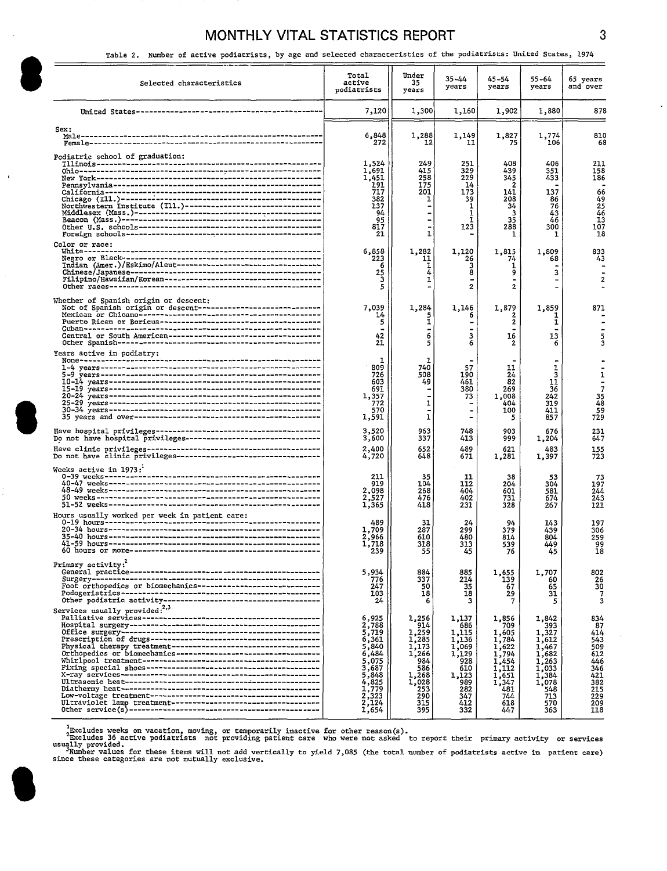| Table 2.  Number of active podiatrists, by age and selected characteristics of the podiatrists: United States, 1974 |                                                                                                                                                   |                                                                                                              |                                                                                                            |                                                                                                                    |                                                                                                                  |                                                                                               |
|---------------------------------------------------------------------------------------------------------------------|---------------------------------------------------------------------------------------------------------------------------------------------------|--------------------------------------------------------------------------------------------------------------|------------------------------------------------------------------------------------------------------------|--------------------------------------------------------------------------------------------------------------------|------------------------------------------------------------------------------------------------------------------|-----------------------------------------------------------------------------------------------|
| Selected characteristics                                                                                            | Total<br>active<br>podiatrists                                                                                                                    | Under<br>35<br>years                                                                                         | 35-44<br>years                                                                                             | 45–54<br>years                                                                                                     | 55–64<br>years                                                                                                   | 65 years<br>and over                                                                          |
|                                                                                                                     | 7,120                                                                                                                                             | 1,300                                                                                                        | 1,160                                                                                                      | 1,902                                                                                                              | 1,880                                                                                                            | 878                                                                                           |
| Sex:                                                                                                                | 6,848<br>272                                                                                                                                      | 1,288<br>12                                                                                                  | 1,149<br>11                                                                                                | 1,827<br>75                                                                                                        | 1,774<br>106                                                                                                     | 810<br>68                                                                                     |
| Podiatric school of graduation:                                                                                     | 1,524<br>1,691<br>1,451<br>191<br>717<br>382<br>137<br>94<br>95<br>817<br>21                                                                      | 249<br>415<br>258<br>175<br>201<br>1<br>1                                                                    | 251<br>329<br>229<br>14<br>173<br>39<br>1<br>$\bf{1}$<br>ı<br>123                                          | 408<br>439<br>345<br>2<br>141<br>208<br>34<br>3<br>35<br>288                                                       | 406<br>351<br>433<br>137<br>86<br>76<br>43<br>46<br>300<br>ı                                                     | 211<br>158<br>186<br>66<br>$\frac{49}{25}$<br>46<br>13<br>107<br>18                           |
| Color or race:                                                                                                      | 6,858<br>223<br>6<br>25<br>3<br>5                                                                                                                 | 1,282<br>11<br>ı<br>4<br>ı                                                                                   | 1,120<br>26<br>з<br>8<br>2                                                                                 | 1,815<br>74<br>п<br>9<br>2                                                                                         | 1,809<br>68<br>з                                                                                                 | 833<br>43<br>2                                                                                |
| Whether of Spanish origin or descent:                                                                               | 7,039<br>14<br>5<br>42<br>21                                                                                                                      | 1,284<br>1<br>6<br>5                                                                                         | 1,146<br>6<br>3<br>6                                                                                       | 1,879<br>2<br>16                                                                                                   | 1,859<br>ı<br>13<br>6                                                                                            | 871<br>3                                                                                      |
| Years active in podiatry:                                                                                           | 809<br>726<br>603<br>691<br>1,357<br>772<br>570<br>1,591                                                                                          | 1<br>740<br>508<br>49<br>1<br>1                                                                              | 57<br>190<br>461<br>380<br>73                                                                              | 11<br>24<br>82<br>269<br>1,008<br>404<br>100<br>5                                                                  | ı<br>3<br>11<br>36<br>242<br>319<br>411<br>857                                                                   | 1<br>7<br>35<br>48<br>59<br>729                                                               |
| Do not have hospital privileges--------------------------------                                                     | 3,520<br>3,600<br>2,400<br>4,720                                                                                                                  | 963<br>337<br>652<br>648                                                                                     | 748<br>413<br>489<br>671                                                                                   | 903<br>999<br>621<br>1,281                                                                                         | 676<br>1,204<br>483<br>1,397                                                                                     | 231<br>647<br>155<br>723                                                                      |
| Weeks active in 1973: <sup>1</sup><br>Hours usually worked per week in patient care:                                | 211<br>919<br>2,098<br>2,527<br>1,365                                                                                                             | 35<br>104<br>268<br>476<br>418                                                                               | 11<br>112<br>404<br>402<br>231                                                                             | 38<br>204<br>601<br>731<br>328                                                                                     | 53<br>304<br>581<br>674<br>267                                                                                   | 73<br>197<br>244<br>243<br>121                                                                |
|                                                                                                                     | 489<br>1,709<br>2,966<br>1,718<br>239                                                                                                             | 31<br>287<br>610<br>318<br>55                                                                                | 24<br>299<br>480<br>313<br>45                                                                              | 94<br>379<br>814<br>539<br>76                                                                                      | 143<br>439<br>804<br>449<br>45                                                                                   | 197<br>306<br>259<br>99<br>18                                                                 |
| Primary activity:<br>Surgery<br>Foot orthopedics or biomechanics------------------------------                      | 5,934<br>,,,<br>247<br>103<br>24                                                                                                                  | 884<br>، دد<br>50<br>18<br>6                                                                                 | 885<br>35<br>18<br>з                                                                                       | 1,655<br>⊥נצ<br>67<br>29<br>7                                                                                      | 1,707<br>טט<br>65<br>31<br>5                                                                                     | 802<br>40<br>$\frac{30}{7}$<br>3                                                              |
|                                                                                                                     | 6,925<br>2,788<br>5,719<br>6,361<br>5,840<br>6,484<br>5,075<br>3,687<br>5,848<br>4,825<br>$\frac{1,779}{2,323}$<br>$\frac{2,124}{2,124}$<br>1,654 | 1,256<br>914<br>1,259<br>1,285<br>1,173<br>1,266<br>984<br>586<br>1,268<br>1,028<br>253<br>290<br>315<br>395 | 1,137<br>686<br>1,115<br>1,136<br>1,069<br>1,129<br>928<br>610<br>1,123<br>989<br>282<br>347<br>412<br>332 | 1,856<br>709<br>1,605<br>1,784<br>$1,622$<br>1,794<br>1,454<br>1,112<br>1,651<br>1,347<br>481<br>744<br>618<br>447 | 1,842<br>393<br>1,327<br>1,612<br>1,467<br>1,682<br>1,263<br>1,033<br>1,384<br>1,078<br>548<br>713<br>570<br>363 | 834<br>87<br>414<br>543<br>509<br>612<br>446<br>346<br>421<br>382<br>215<br>229<br>209<br>118 |

, Excludes weeks on vacation, moving, or temporarily inactive for other reason(s).<br>Sxcludes 36 active podiatrists not providing patient care who were not asked to report their primary activity or services<br>usually provided. 'Number values for these items will not add vertically to yield 7,085 (the total number of podiatrists active in patient care) since these categories **are** not mutually exclusive.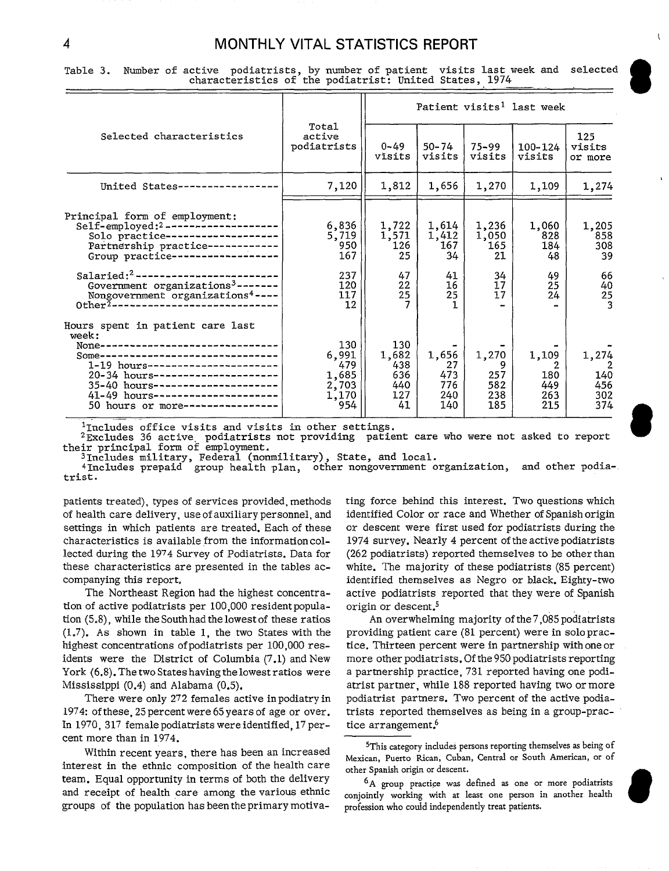|                                                                                                                                                                                                                                                                                                                |                                                       |                                                |                                         |                                        | Patient visits <sup>1</sup> last week |                                   |
|----------------------------------------------------------------------------------------------------------------------------------------------------------------------------------------------------------------------------------------------------------------------------------------------------------------|-------------------------------------------------------|------------------------------------------------|-----------------------------------------|----------------------------------------|---------------------------------------|-----------------------------------|
| Selected characteristics                                                                                                                                                                                                                                                                                       | Total<br>active<br>podiatrists                        | $0 - 49$<br>vīsits                             | $50 - 74$<br>visits                     | 75–99<br>visits                        | 100-124<br>visits                     | 125<br>visits<br>or more          |
| United States-----------                                                                                                                                                                                                                                                                                       | 7,120                                                 | 1,812                                          | 1,656                                   | 1,270                                  | 1,109                                 | 1,274                             |
| Principal form of employment:<br>$Self-emploved:2$ -------------------<br>Solo practice-------------------<br>Partnership practice------------<br>Group practice------------------                                                                                                                             | 6,836<br>5,719<br>950<br>167                          | 1,722<br>1,571<br>126<br>25                    | 1,614<br>1,412<br>167<br>34             | 1,236<br>1,050<br>165<br>21            | 1,060<br>828<br>184<br>48             | 1,205<br>858<br>308<br>39         |
| Salaried: $2$ --<br>----------------------<br>Government organizations <sup>3</sup> -------<br>Nongovernment organizations <sup>4</sup> ----<br>$0$ ther <sup>2</sup> -------                                                                                                                                  | 237<br>120<br>117<br>$12 \overline{ }$                | 47<br>22<br>25                                 | 41<br>16<br>25                          | 34<br>17<br>17                         | 49<br>25<br>24                        | 66<br>40<br>25<br>$\overline{3}$  |
| Hours spent in patient care last<br>week:<br>None-------------------------------<br>Some-------------------------------<br>1-19 hours-----------------------<br>20-34 hours----------------------<br>35-40 hours---------------------<br>41-49 hours----------------------<br>50 hours or more---------------- | 130<br>6,991<br>479<br>1,685<br>2,703<br>1,170<br>954 | 130<br>1,682<br>438<br>636<br>440<br>127<br>41 | 1,656<br>27<br>473<br>776<br>240<br>140 | 1,270<br>9<br>257<br>582<br>238<br>185 | 1,109<br>180<br>449<br>263<br>215     | 1,274<br>140<br>456<br>302<br>374 |

Table 3. Number of active podiatrists, by number of patient visits last week and select characteristics of the podiatrist: United States, 1974

<sup>1</sup>Includes office visits and visits in other settings.

'Excludes 36 active, podiatrists not providing patient care who were not asked to report their principal form of employment.<br><sup>3</sup>Includes military, Federal (nonmilita

State, and local

41ncludes prepaid group health plan, other trist. nongovernment organization, and other podia

patients treated), types of services provided, methods of health care delivery, useofauxiliarypersonnel, and settings in which patients are treated. Each of these characteristics is available from the information collected during the 19T4 Survey of Podiatrists. Data for these characteristics are presented in the tables accompanying this report.

The Northeast Region had the highest concentration of active podiatrists per 100,000 resident population  $(5.8)$ , while the South had the lowest of these ratios (1.7). As shown in table 1, the two States with the highest concentrations of podiatrists per 100,000 residents were the District of Columbia (7.1) and New York (6.8). The two States having the lowest ratios were Mississippi  $(0.4)$  and Alabama  $(0.5)$ .

There were only 272 females active inpodiatryin 1974: of these, 25 percent were 65 years of age or over. In 1970, 317 female podiatrists wereidentified,17 percent more than in 1974.

Within recent years, there has been an increased interest in the ethnic composition of the health care team. Equal opportunity in terms of both the delivery and receipt of health care among the various ethnic groups of the population hasbeentheprimary motivating force behind this interest. Two questions which identified Color or race and Whether of Spanish origin or descent were first used for podiatrists during the 1974 survey. Nearly 4 percent of the active podiatrists (262 podiatrists) reported themselves to be other than white. The majority of these podiatrists (85 percent) identified themselves as Negro or black. Eighty-two active podiatrists reported that they were of Spanish origin or descent.<sup>5</sup>

 $\mathbf{t}$ 

An overwhelming majority of the 7,085 podiatrists providing patient care (81 percent) were in solopractice. Thirteen percent were in partnership with one or more other podiatrists. Of the 950 podiatrists reporting a partnership practice, 731 reported having one podiatrist partner, while 188 reported having two ormore podiatrist parmers. Two percent of the active podiatrists reported themselves as being in a group-practice arrangement.<sup>6</sup>

<sup>&</sup>lt;sup>5</sup>This category includes persons reporting themselves as being of Mexican, Puerto Rican, Cuban, Central or South American, or of other Spanish origin or descent.

<sup>&</sup>lt;sup>6</sup>A group practice was defined as one or more podiatrists conjointly working with at least one person in smother health profession who could independently treat patients.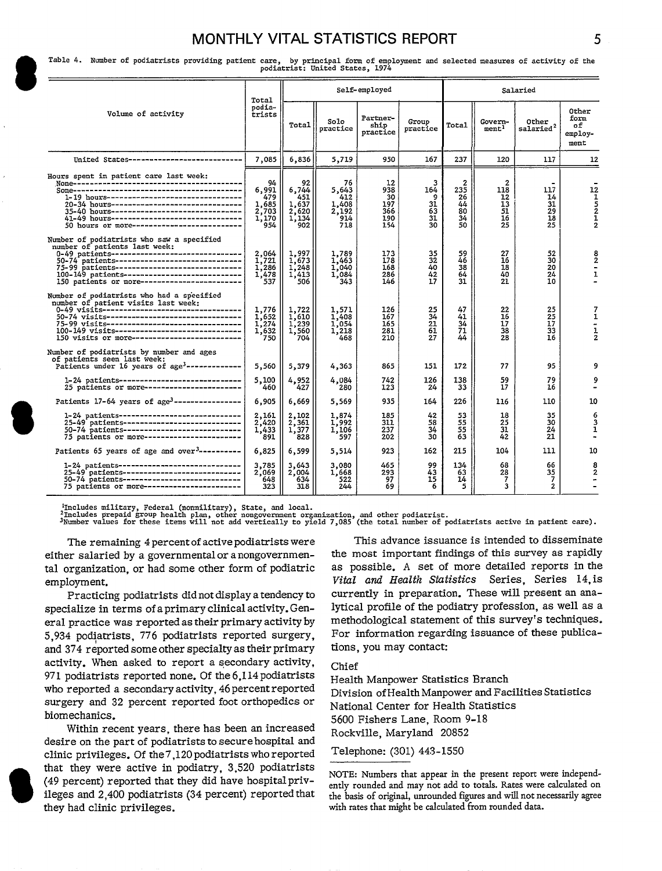### MONTHLY VITAL STATISTICS REPORT **SECULIARY SECULIT**

Table 4. Number of podiatrists providing patient care, by principal form of employment and selected measures of activity of the podiatrist: United States, 1974

|                                                                                                                                                                                                                                                                                                                            | Total                                                |                                                      |                                                    | Self-employed                               |                                       |                                                   |                                                   | Salaried                          |                                        |
|----------------------------------------------------------------------------------------------------------------------------------------------------------------------------------------------------------------------------------------------------------------------------------------------------------------------------|------------------------------------------------------|------------------------------------------------------|----------------------------------------------------|---------------------------------------------|---------------------------------------|---------------------------------------------------|---------------------------------------------------|-----------------------------------|----------------------------------------|
| Volume of activity                                                                                                                                                                                                                                                                                                         | podia-<br>trists                                     | Total                                                | Solo<br>practice                                   | Partner-<br>shir<br>practice                | Group<br>practice                     | Total                                             | Govern-<br>ment <sup>1</sup>                      | Other<br>salaried <sup>2</sup>    | Other<br>form<br>оf<br>employ-<br>ment |
| United States----------------------------                                                                                                                                                                                                                                                                                  | 7,085                                                | 6,836                                                | 5,719                                              | 950                                         | 167                                   | 237                                               | 120                                               | 117                               | 12                                     |
| Hours spent in patient care last week:<br>1-19 hours-----------------------------------<br>20-34 hours---------------------------------<br>35-40 hours-------------------------------<br>41-49 hours-------------------------------<br>50 hours or more----------------------------                                        | 94<br>6,991<br>479<br>1,685<br>2,703<br>1,170<br>954 | 92<br>6,744<br>451<br>1,637<br>2,620<br>1,134<br>902 | 76<br>5,643<br>412<br>1,408<br>2,192<br>914<br>718 | 12<br>938<br>30<br>197<br>366<br>190<br>154 | 3<br>164<br>9<br>31<br>63<br>31<br>30 | $\mathbf{2}$<br>235<br>26<br>44<br>80<br>34<br>50 | $\mathbf{z}$<br>118<br>12<br>13<br>51<br>16<br>25 | 117<br>14<br>31<br>29<br>18<br>25 | 12<br>1521                             |
| Number of podiatrists who saw a specified<br>number of patients last week:<br>0-49 patients-------------------------------<br>50-74 patients-----------------------------<br>75-99 patients------------------------------<br>100-149 patients----------------------------<br>150 patients or more------------------------- | 2,064<br>1,721<br>1,286<br>1,478<br>537              | 1,997<br>1.673<br>1.248<br>1,413<br>506              | 1,789<br>1,463<br>1,040<br>1,084<br>343            | 173<br>178<br>168<br>286<br>146             | 35<br>32<br>40<br>42<br>17            | 59<br>46<br>38<br>64<br>31                        | 27<br>16<br>18<br>40<br>21                        | 52<br>30<br>20<br>24<br>10        | 8<br>2<br>ı                            |
| Number of podiatrists who had a specified<br>number of patient visits last week:<br>50-74 visits---------------------------------<br>75-99 visits---------------------------------<br>100-149 visits-----------------------------<br>150 visits or more---------------------------                                         | 1,776<br>1,652<br>1,274<br>1,632<br>750              | 1,722<br>1,610<br>1,239<br>1,560<br>704              | 1,571<br>1,408<br>1,054<br>1,218<br>468            | 126<br>167<br>165<br>281<br>210             | 25<br>34<br>21<br>61<br>27            | 47<br>41<br>34<br>71<br>44                        | 22<br>16<br>17<br>38<br>28                        | 25<br>25<br>17<br>33<br>16        | 7<br>1<br>$\frac{1}{2}$                |
| Number of podiatrists by number and ages<br>of patients seen last week:<br>Patients under 16 years of age <sup>3</sup> *************                                                                                                                                                                                       | 5,560                                                | 5,379                                                | 4,363                                              | 865                                         | 151                                   | 172                                               | 77                                                | 95                                | 9                                      |
| 1-24 patients------------------------------<br>25 patients or more-----------------------                                                                                                                                                                                                                                  | 5,100<br>460                                         | 4,952<br>427                                         | 4,084<br>280                                       | 742<br>123                                  | 126<br>24                             | 138<br>33                                         | 59<br>17                                          | 79<br>16                          | 9                                      |
| Patients 17-64 years of $age3$ ---------------                                                                                                                                                                                                                                                                             | 6,905                                                | 6,669                                                | 5、569                                              | 935                                         | 164                                   | 226                                               | 116                                               | <b>TTO</b>                        | 10                                     |
| 1-24 patients-----------------------------<br>25-49 patients-----------------------------<br>50-74 patients---------------------------<br>75 patients or more-----------------------                                                                                                                                       | 2,161<br>2,420<br>1,433<br>891                       | 2,102<br>2,361<br>1,377<br>828                       | 1,874<br>1,992<br>1,106<br>597                     | 185<br>311<br>237<br>202                    | 42<br>58<br>34<br>30                  | 53<br>55<br>55<br>63                              | 18<br>25<br>31<br>42                              | 35<br>30<br>24<br>21              | 6<br>3<br>1                            |
| Patients 65 years of age and $over3$ ----------                                                                                                                                                                                                                                                                            | 6,825                                                | 6,599                                                | 5,514                                              | 923                                         | 162                                   | 215                                               | 104                                               | 111                               | 10                                     |
| 1-24 patients-----------------------------<br>25-49 patients----------------------------<br>50-74 patients----------------------------<br>75 patients or more------------------------                                                                                                                                      | 3,785<br>2,069<br>648<br>323                         | 3,643<br>2,004<br>634<br>318                         | 3,080<br>1,668<br>522<br>244                       | 465<br>293<br>97<br>69                      | 99<br>$^{43}_{15}$<br>6               | 134<br>63<br>14<br>5                              | 68<br>28<br>7<br>3.                               | 66<br>35<br>7<br>$\mathbf{2}$     | 8<br>$\overline{a}$                    |

iIncludes military, Federal (nonmilitary), State, and local.<br><sup>2</sup>Includes prepaid group health plan, other nongovernment organization, and other podiatrist.<br><sup>3</sup>Number values for these items will not add vertically to yield

The remaining 4 percent of active podiatrists were either salaried by a governmental or a nongovernmental organization, or had some other form of podiatric employment.

Practicing podiatrists did not display a tendency to specialize in terms of a primary clinical activity. General practice was reported as their primary activity by 5,934 podiatrists, 776 podiatrists reported surgery, and 374 reported some other specialty as their primary activity. When asked to report a secondary activity, 971 podiatrists reported none. Of the 6,114 podiatrists who reported a secondary activity, 46 percent reported surgery and 32 percent reported foot orthopedics or biomechanics.

Within recent years, there has been an increased desire on the part of podiatrists to secure hospital and clinic privileges. Of the 7,120 podiatrists who reported that they were active in podiatry, 3,520 podiatrists (49 percent) reported that they did have hospital privileges and 2,400 podiatrists (34 percent) reported that they had clinic privileges.

This advance issuance is intended to disseminate the most important findings of this survey as rapidly as possible. A set of more detailed reports in the *Vital and Health Statistics* Series, Series 14, is currently in preparation. These will present an analytical profile of the podiatry profession, as well as a methodological statement of this survey's techniques. For information regarding issuance of these publications, you may contacc

#### Chief

Health Manpower Statistics Brancl Division of Health Manpower and Facilities Statistics National Center for Health Statistic 5600 Fishers Lane, Room 9-18 Rockville, Maryland 20852

Telephone: (301) 443-1550

NOTE: Numbers that appear in the present report were independently rounded and may not add to totals. Rates were calculated on the basis of original, unrounded figures and will not necessarily agree with rates that might be calculated from rounded data.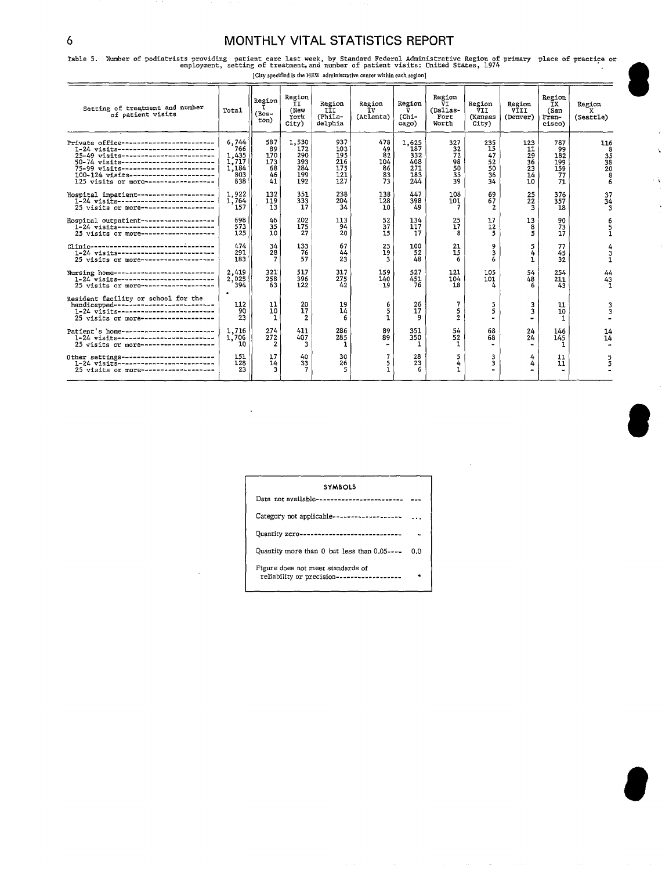Table 5. Number of podiatrists providing patient care last week, by Standard Federal Administrative Region of primary place of practice or<br>employment, setting of treatment,and number of patient visits: United States, 19 [City specified is the HEW administrative center within each region]

| Setting of treatment and number<br>of patient visits                                                                                                                                                                                                                                     | Total                                                 | Region<br>(Bos-<br>ton)                   | Region<br>ĪI<br>(New<br>York<br>City)           | Region<br>IĪI<br>(Phila-<br>delphia           | Region<br>īν<br>(Atlanta)                | Region<br>Δ<br>(Chi-<br>cago)                   | Region<br>VI.<br>(Dallas-<br>Fort<br>Worth | Region<br>VΙI.<br>(Kansas<br>City)      | Region<br>VĪII<br>(Denver)              | Region<br>ĪХ<br>(San<br>Fran-<br>cisco)    | Region<br>x<br>(Seattle)        |
|------------------------------------------------------------------------------------------------------------------------------------------------------------------------------------------------------------------------------------------------------------------------------------------|-------------------------------------------------------|-------------------------------------------|-------------------------------------------------|-----------------------------------------------|------------------------------------------|-------------------------------------------------|--------------------------------------------|-----------------------------------------|-----------------------------------------|--------------------------------------------|---------------------------------|
| Private office-----------------------<br>1-24 visits--------------------------<br>25-49 visits------------------------<br>50-74 visits-------------------------<br>75-99 visits-------------------------<br>100-124 visits----------------------<br>125 visits or more------------------ | 6,744<br>766<br>1,435<br>1,717<br>1,184<br>803<br>838 | 587<br>89<br>170<br>173<br>68<br>46<br>41 | 1.530<br>172<br>290<br>393<br>284<br>199<br>192 | 937<br>103<br>195<br>216<br>175<br>121<br>127 | 478<br>49<br>82<br>104<br>86<br>83<br>73 | 1,625<br>187<br>332<br>408<br>271<br>183<br>244 | 327<br>32<br>72<br>98<br>50<br>35<br>39    | 235<br>15<br>47<br>52<br>50<br>36<br>34 | 123<br>11<br>29<br>36<br>23<br>14<br>10 | 787<br>99<br>182<br>199<br>159<br>77<br>71 | 116<br>8<br>$358$<br>$208$<br>ė |
| Hospital inpatient--------------------<br>1-24 visits--------------------------<br>25 visits or more--------------------                                                                                                                                                                 | 1.922<br>1,764<br>157                                 | 132<br>119<br>13                          | 351<br>333<br>17                                | 238<br>204<br>34                              | 138<br>128<br>10                         | 447<br>398<br>49                                | 108<br>101                                 | 69<br>67<br>$\overline{2}$              | 25<br>22<br>٩                           | 376<br>357<br>18                           | 37<br>34<br>3                   |
| Hospital outpatient--------------------<br>1-24 visits-------------------------<br>25 visits or more--------------------                                                                                                                                                                 | 698<br>573<br>125                                     | 46<br>35<br>10                            | 202<br>175<br>27                                | 113<br>94<br>20                               | 52<br>37<br>15                           | 134<br>117<br>17                                | 25<br>17<br>я                              | 17<br>12<br>5                           | 13<br>я<br>5                            | 90<br>73<br>17                             | 6<br>$\mathbf{1}$               |
| Clinic---------------------------------<br>1-24 visits-------------------------<br>25 visits or more--------------------                                                                                                                                                                 | 474<br>291<br>183                                     | 34<br>28<br>7                             | 133<br>76<br>57                                 | 67<br>44<br>23                                | 23<br>19<br>٩                            | 100<br>52<br>48                                 | 21<br>15<br>6                              | 9<br>3<br>6                             | 5<br>1                                  | 77<br>45<br>32                             | $\mathbf{1}$                    |
| Nursing home-------------------------<br>$1 - 24$ visits--------------------------<br>25 visits or more--------------------                                                                                                                                                              | 2,419<br>2,025<br>394                                 | 321<br>258<br>63                          | 517<br>396<br>122                               | 317<br>275<br>42                              | 159<br>140<br>19                         | 527<br>451<br>76                                | 121<br>104<br>1.8                          | 105<br>101                              | 54<br>48                                | 254<br>211<br>43                           | 44<br>43                        |
| Resident facility or school for the<br>handicapped --------------------------<br>1-24 visits--------------------------<br>25 visits or more--------------------                                                                                                                          | ٠<br>112<br>90<br>23                                  | 11<br>10<br>$\mathbf{1}$                  | 20<br>17<br>2                                   | 19<br>14                                      | 6<br>1                                   | 26<br>17<br>q                                   | 7<br>5<br>$\mathbf{2}$                     | 5<br>5                                  | 3                                       | 11<br>10<br>1                              |                                 |
| Patient's home-------------------------<br>$1-24$ visits---------------------------<br>25 visits or more--------------------                                                                                                                                                             | 1.716<br>1,706<br>10                                  | 274<br>272<br>2                           | 411<br>407<br>3                                 | 286<br>285<br>1                               | 89<br>89                                 | 351<br>350                                      | 54<br>52                                   | 68<br>68                                | 24<br>24                                | 146<br>145                                 | 14<br>14                        |
| Other settings-------------------------<br>1-24 visits-------------------------<br>25 visits or more-------------------                                                                                                                                                                  | 151<br>128<br>23                                      | 17<br>14<br>3                             | 40<br>33                                        | 30<br>26<br>5                                 | 7<br>5                                   | 28<br>23<br>6                                   | 5<br>4                                     | 3<br>3                                  | 4<br>4                                  | 11<br>11                                   |                                 |

 $\mathbf{r}$ 

 $\hat{A}$  .



 $\ddot{\phantom{a}}$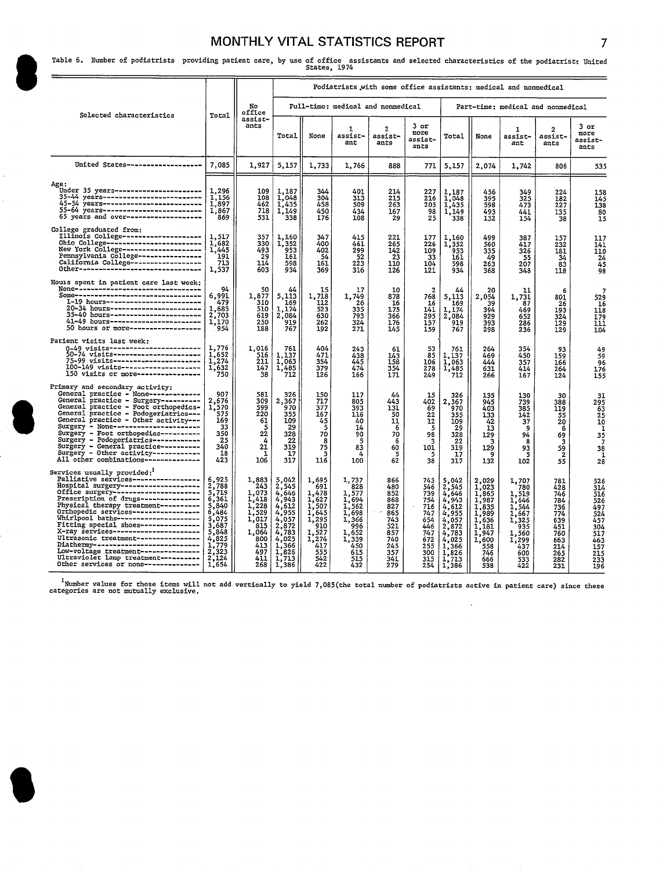Table 6. Number of podiatrists providing patient care, by use of office assistants and selected characteristics of the podiatrist: United<br>States, 1974

 $\bar{\bar{z}}$ 

|                                                                                                                                                                                                                                                                                                                                                                                                                                                                                                                                                                                                                         | Podiatrists with some office assistants; medical and nonmedical                                                                 |                                                                                                              |                                                                                                                                                  |                                                                                                                       |                                                                                                                |                                                                                                |                                                                                                |                                                                                                                                                                         |                                                                                                                                          |                                                                                                                |                                                                                                |                                                                                                               |
|-------------------------------------------------------------------------------------------------------------------------------------------------------------------------------------------------------------------------------------------------------------------------------------------------------------------------------------------------------------------------------------------------------------------------------------------------------------------------------------------------------------------------------------------------------------------------------------------------------------------------|---------------------------------------------------------------------------------------------------------------------------------|--------------------------------------------------------------------------------------------------------------|--------------------------------------------------------------------------------------------------------------------------------------------------|-----------------------------------------------------------------------------------------------------------------------|----------------------------------------------------------------------------------------------------------------|------------------------------------------------------------------------------------------------|------------------------------------------------------------------------------------------------|-------------------------------------------------------------------------------------------------------------------------------------------------------------------------|------------------------------------------------------------------------------------------------------------------------------------------|----------------------------------------------------------------------------------------------------------------|------------------------------------------------------------------------------------------------|---------------------------------------------------------------------------------------------------------------|
| Selected characteristics                                                                                                                                                                                                                                                                                                                                                                                                                                                                                                                                                                                                | Total                                                                                                                           | No<br>office<br>assist-                                                                                      |                                                                                                                                                  |                                                                                                                       | Full-time: medical and nonmedical                                                                              |                                                                                                |                                                                                                |                                                                                                                                                                         |                                                                                                                                          |                                                                                                                | Part-time: medical and nonmedical                                                              |                                                                                                               |
|                                                                                                                                                                                                                                                                                                                                                                                                                                                                                                                                                                                                                         |                                                                                                                                 | ants                                                                                                         | <b>Total</b>                                                                                                                                     | None                                                                                                                  | з.<br>assist-<br>ant                                                                                           | 2<br>assist-<br>ants                                                                           | 3 or<br>more<br>assist-<br>ants                                                                | Total                                                                                                                                                                   | None                                                                                                                                     | ı<br>assist-<br>ant                                                                                            | $\mathbf{2}$<br>assist-<br>ants                                                                | $3$ or<br>more<br>assist-<br>ants                                                                             |
| United States--------------------                                                                                                                                                                                                                                                                                                                                                                                                                                                                                                                                                                                       | 7,085                                                                                                                           | 1,927                                                                                                        | 5,157                                                                                                                                            | 1,733                                                                                                                 | 1,766                                                                                                          | 888                                                                                            | 771                                                                                            | 5,157                                                                                                                                                                   | 2,074                                                                                                                                    | 1,742                                                                                                          | 806                                                                                            | 535                                                                                                           |
| Age:<br>Under 35 years-----------------------<br>35-44 years--------------------------<br>45-54 years--------------------------<br>55-64 years---------------------------<br>65 years and over--------------------                                                                                                                                                                                                                                                                                                                                                                                                      | 1,296<br>1,156<br>1,897<br>1,867<br>869                                                                                         | 109<br>108<br>462<br>718<br>531                                                                              | 1,187<br>1,048<br>1,435<br>1,149<br>338                                                                                                          | 344<br>304<br>458<br>450<br>176                                                                                       | 401<br>313<br>509<br>434<br>108                                                                                | 214<br>215<br>263<br>167<br>29                                                                 | 227<br>216<br>205<br>98<br>25                                                                  | 1,187<br>1,048<br>1,435<br>1,149<br>338                                                                                                                                 | 456<br>395<br>598<br>493<br>132                                                                                                          | 349<br>325<br>473<br>441<br>154                                                                                | 224<br>182<br>227<br>135<br>38                                                                 | 158<br>$\frac{145}{138}$<br>80<br>15                                                                          |
| College graduated from:<br>Illinois College---------------------<br>Ohio College-------------------------<br>New York College---------------------<br>Pennsylvania College-----------------<br>California College------------------<br>0ther---------------------------------                                                                                                                                                                                                                                                                                                                                           | 1,517<br>1,682<br>1,445<br>191<br>713<br>1,537                                                                                  | 357<br>330<br>493<br>29<br>114<br>603                                                                        | 1,160<br>1,352<br>953<br>161<br>598<br>934                                                                                                       | 347<br>400<br>402<br>54<br>161<br>369                                                                                 | 415<br>461<br>299<br>52<br>223<br>316                                                                          | 221<br>265<br>142<br>23<br>110<br>126                                                          | 177<br>226<br>109<br>33<br>$^{104}_{121}$                                                      | 1,160<br>1,352<br>953<br>161<br>598<br>934                                                                                                                              | 499<br>560<br>335<br>49<br>263<br>368                                                                                                    | 387<br>417<br>326<br>55<br>207<br>348                                                                          | 157<br>232<br>181<br>34<br>83<br>118                                                           | 117<br>141<br>$\frac{110}{24}$<br>45<br>98                                                                    |
| Houis spent in patient care last week:<br>None----------------------------------<br>Some---------------------------------<br>1-19 hours-------------------------<br>20-34 hours------------------------<br>35-40 hours------------------------<br>41-49 hours-----------------------<br>50 hours or more-------------------                                                                                                                                                                                                                                                                                             | 94<br>6,991<br>479<br>1,685<br>2,703<br>1,170<br>954                                                                            | 50<br>1,877<br>310<br>510<br>619<br>250<br>188                                                               | 44<br>5,113<br>169<br>1,174<br>2,084<br>$\frac{919}{767}$                                                                                        | 15<br>1,718<br>112<br>523<br>630<br>262<br>192                                                                        | 17<br>1,749<br>26<br>335<br>793<br>324<br>271                                                                  | 10<br>878<br>16<br>175<br>366<br>176<br>145                                                    | 2<br>768<br>16<br>141<br>$\frac{295}{157}$<br>159                                              | 44<br>5,113<br>169<br>ı.<br>. 174<br>2,084<br>919<br>767                                                                                                                | 20<br>2,054<br>39<br>394<br>929<br>393<br>298                                                                                            | 11<br>1,731<br>87<br>469<br>652<br>286<br>236                                                                  | 6<br>801<br>26<br>193<br>324<br>129<br>129                                                     | 529<br>$\begin{array}{c} \bar{1}\bar{6}\\ 118 \end{array}$<br>179<br>111<br>104                               |
| Patient visits last week:<br>0-49 visits------------------------<br>50-74 visits----------------------<br>75-99 visits-----------------------<br>100-149 visits---------------------<br>150 visits or more----------------                                                                                                                                                                                                                                                                                                                                                                                              | 1,776<br>$\frac{1,652}{1,274}$<br>1,632<br>750                                                                                  | 1,016<br>516<br>211<br>147<br>38                                                                             | 761<br>1,137<br>1,063<br>1,485<br>712                                                                                                            | 404<br>471<br>354<br>379<br>126                                                                                       | 243<br>438<br>445<br>474<br>166                                                                                | 61<br>143<br>158<br>354<br>171                                                                 | 53<br>85<br>106<br>278<br>249                                                                  | 761<br>1,137<br>1,063<br>1,485<br>712                                                                                                                                   | 264<br>469<br>444<br>631<br>266                                                                                                          | 354<br>450<br>357<br>414<br>167                                                                                | 93<br>159<br>166<br>264<br>124                                                                 | 49<br>59<br>96<br>176<br>155                                                                                  |
| Primary and secondary activity:<br>General practice - None-------------<br>General practice - Surgery----------<br>General practice - Foot orthopedics-<br>General practice - Podogeriatrics ---<br>General practice - Other activity ---<br>Surgery - None----------------------<br>Surgery - Foot orthopedics----------<br>Surgery - Podogeriatrics------------<br>Surgery - General practice----------<br>Surgery - Other activity------------<br>All other combinations--------------                                                                                                                               | 907<br>2,676<br>1,570<br>575<br>169<br>33<br>350<br>25<br>340<br>18<br>423                                                      | 581<br>309<br>599<br>220<br>61<br>5<br>22<br>4<br>21<br>1<br>106                                             | 326<br>2,367<br>970<br>355<br>109<br>29<br>328<br>22<br>319<br>17<br>317                                                                         | 150<br>717<br>377<br>167<br>45<br>5<br>70<br>8<br>75<br>3<br>116                                                      | 117<br>805<br>393<br>116<br>40<br>14<br>90<br>-5<br>83<br>4<br>100                                             | 44<br>443<br>131<br>50<br>11<br>6<br>70<br>6<br>60<br>5<br>62                                  | 15<br>402<br>69<br>$2\overline{2}$<br>12<br>5<br>98<br>3<br>101<br>5<br>38                     | 326<br>2,367<br>970<br>355<br>109<br>29<br>328<br>22<br>319<br>17<br>317                                                                                                | 135<br>945<br>403<br>133<br>42<br>13<br>129<br>3<br>129<br>q<br>132                                                                      | 130<br>739<br>385<br>142<br>37<br>9<br>94<br>8<br>93<br>5<br>102                                               | 30<br>388<br>119<br>55<br>20<br>6<br>69<br>3<br>59<br>2<br>55                                  | 31<br>295<br>$\frac{63}{25}$<br>$\frac{25}{10}$<br>$\mathbf{I}$<br>$3\frac{1}{7}$<br>38<br>$\mathbf{1}$<br>28 |
| Services usually provided:1<br>Palliative services-----------------<br>Hospital surgery--------------------<br>Office surgery-----------------------<br>Prescription of drugs---------------<br>Physical therapy treatment----------<br>Orthopedic services-----------------<br>Whirlpool baths---------------------<br>Fitting special shoes---------------   3,687<br>X-ray services-----------------------<br>Ultrasonic treatment----------------<br>Diathermy---------------------------<br>Low-voltage treatment----------------<br>Ultraviolet lamp treatment ----------<br>Other services or none-------------- | 6,925<br>2,788<br>5,719<br>6,361<br>5,840<br>6,484<br>5,075<br>5,848<br>4,825<br>1,779<br>2,323<br>$2, \overline{124}$<br>1,654 | 1,883<br>243<br>1,073<br>1,418<br>1,228<br>1,529<br>1,017<br>815<br>1,064<br>800<br>413<br>497<br>411<br>268 | 5,042<br>2,545<br>4,646<br>4,943<br>4,612<br>4.955<br>$\frac{4,057}{2,872}$<br>4,783<br>4,025<br>1,366<br>1,826<br>$\frac{1}{1}$ , 713<br>1, 386 | 1,695<br>691<br>1,478<br>1,627<br>1,507<br>1,645<br>1,295<br>910<br>1,527<br>1,274<br>417<br>555<br>$\frac{542}{422}$ | 1,737<br>828<br>1,577<br>1,694<br>1,562<br>1,698<br>1,366<br>996<br>1,652<br>1,339<br>450<br>615<br>515<br>432 | 866<br>480<br>852<br>868<br>827<br>865<br>743<br>521<br>857<br>740<br>245<br>357<br>341<br>279 | 743<br>546<br>739<br>754<br>716<br>747<br>654<br>446<br>747<br>672<br>255<br>300<br>315<br>254 | $\begin{array}{ c c }\n5,042 \\ 2,545 \\ 4,646\n\end{array}$<br>4,943<br>4,612<br>4,955<br>4,057<br>2,872<br>4,783<br>4,025<br>$1,366$<br>$1,826$<br>$1,713$<br>$1,386$ | 2,029<br>1,023<br>1,865<br>$\begin{array}{c} 1,987 \\ 1,835 \\ 1,989 \end{array}$<br>1,636<br>1,947<br>1,600<br>558<br>746<br>666<br>538 | 1,707<br>780<br>1,519<br>1,646<br>1,544<br>1,667<br>1,325<br>935<br>1,560<br>1,299<br>437<br>600<br>533<br>422 | 781<br>428<br>746<br>784<br>736<br>774<br>639<br>451<br>760<br>663<br>214<br>265<br>282<br>231 | 526<br>314<br>516<br>526<br>497<br>524<br>457<br>304<br>517<br>463<br>157<br>215<br>233<br>196                |